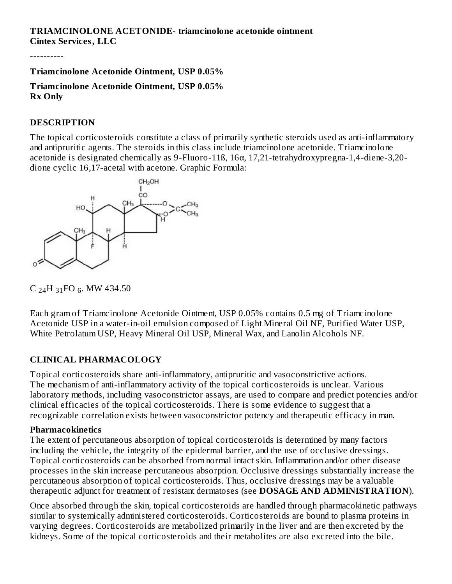## **TRIAMCINOLONE ACETONIDE- triamcinolone acetonide ointment Cintex Services, LLC**

----------

#### **Triamcinolone Acetonide Ointment, USP 0.05%**

#### **Triamcinolone Acetonide Ointment, USP 0.05% Rx Only**

#### **DESCRIPTION**

The topical corticosteroids constitute a class of primarily synthetic steroids used as anti-inflammatory and antipruritic agents. The steroids in this class include triamcinolone acetonide. Triamcinolone acetonide is designated chemically as 9-Fluoro-11ß, 16α, 17,21-tetrahydroxypregna-1,4-diene-3,20 dione cyclic 16,17-acetal with acetone. Graphic Formula:



C  $_{24}$ H  $_{31}$ FO  $_6$ . MW 434.50

Each gram of Triamcinolone Acetonide Ointment, USP 0.05% contains 0.5 mg of Triamcinolone Acetonide USP in a water-in-oil emulsion composed of Light Mineral Oil NF, Purified Water USP, White Petrolatum USP, Heavy Mineral Oil USP, Mineral Wax, and Lanolin Alcohols NF.

## **CLINICAL PHARMACOLOGY**

Topical corticosteroids share anti-inflammatory, antipruritic and vasoconstrictive actions. The mechanism of anti-inflammatory activity of the topical corticosteroids is unclear. Various laboratory methods, including vasoconstrictor assays, are used to compare and predict potencies and/or clinical efficacies of the topical corticosteroids. There is some evidence to suggest that a recognizable correlation exists between vasoconstrictor potency and therapeutic efficacy in man.

#### **Pharmacokinetics**

The extent of percutaneous absorption of topical corticosteroids is determined by many factors including the vehicle, the integrity of the epidermal barrier, and the use of occlusive dressings. Topical corticosteroids can be absorbed from normal intact skin. Inflammation and/or other disease processes in the skin increase percutaneous absorption. Occlusive dressings substantially increase the percutaneous absorption of topical corticosteroids. Thus, occlusive dressings may be a valuable therapeutic adjunct for treatment of resistant dermatoses (see **DOSAGE AND ADMINISTRATION**).

Once absorbed through the skin, topical corticosteroids are handled through pharmacokinetic pathways similar to systemically administered corticosteroids. Corticosteroids are bound to plasma proteins in varying degrees. Corticosteroids are metabolized primarily in the liver and are then excreted by the kidneys. Some of the topical corticosteroids and their metabolites are also excreted into the bile.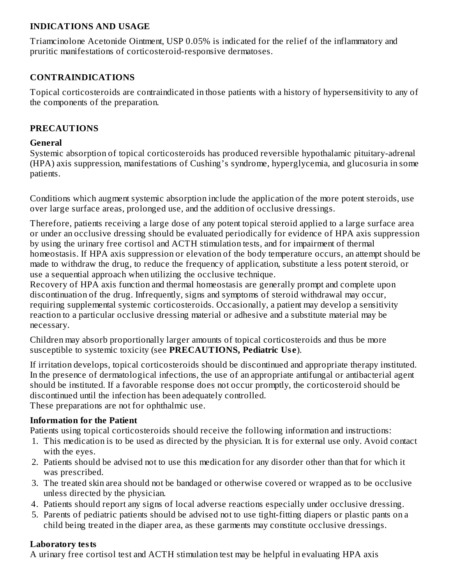## **INDICATIONS AND USAGE**

Triamcinolone Acetonide Ointment, USP 0.05% is indicated for the relief of the inflammatory and pruritic manifestations of corticosteroid-responsive dermatoses.

## **CONTRAINDICATIONS**

Topical corticosteroids are contraindicated in those patients with a history of hypersensitivity to any of the components of the preparation.

## **PRECAUTIONS**

## **General**

Systemic absorption of topical corticosteroids has produced reversible hypothalamic pituitary-adrenal (HPA) axis suppression, manifestations of Cushing's syndrome, hyperglycemia, and glucosuria in some patients.

Conditions which augment systemic absorption include the application of the more potent steroids, use over large surface areas, prolonged use, and the addition of occlusive dressings.

Therefore, patients receiving a large dose of any potent topical steroid applied to a large surface area or under an occlusive dressing should be evaluated periodically for evidence of HPA axis suppression by using the urinary free cortisol and ACTH stimulation tests, and for impairment of thermal homeostasis. If HPA axis suppression or elevation of the body temperature occurs, an attempt should be made to withdraw the drug, to reduce the frequency of application, substitute a less potent steroid, or use a sequential approach when utilizing the occlusive technique.

Recovery of HPA axis function and thermal homeostasis are generally prompt and complete upon discontinuation of the drug. Infrequently, signs and symptoms of steroid withdrawal may occur, requiring supplemental systemic corticosteroids. Occasionally, a patient may develop a sensitivity reaction to a particular occlusive dressing material or adhesive and a substitute material may be necessary.

Children may absorb proportionally larger amounts of topical corticosteroids and thus be more susceptible to systemic toxicity (see **PRECAUTIONS, Pediatric Us e**).

If irritation develops, topical corticosteroids should be discontinued and appropriate therapy instituted. In the presence of dermatological infections, the use of an appropriate antifungal or antibacterial agent should be instituted. If a favorable response does not occur promptly, the corticosteroid should be discontinued until the infection has been adequately controlled.

These preparations are not for ophthalmic use.

## **Information for the Patient**

Patients using topical corticosteroids should receive the following information and instructions:

- 1. This medication is to be used as directed by the physician. It is for external use only. Avoid contact with the eyes.
- 2. Patients should be advised not to use this medication for any disorder other than that for which it was prescribed.
- 3. The treated skin area should not be bandaged or otherwise covered or wrapped as to be occlusive unless directed by the physician.
- 4. Patients should report any signs of local adverse reactions especially under occlusive dressing.
- 5. Parents of pediatric patients should be advised not to use tight-fitting diapers or plastic pants on a child being treated in the diaper area, as these garments may constitute occlusive dressings.

## **Laboratory tests**

A urinary free cortisol test and ACTH stimulation test may be helpful in evaluating HPA axis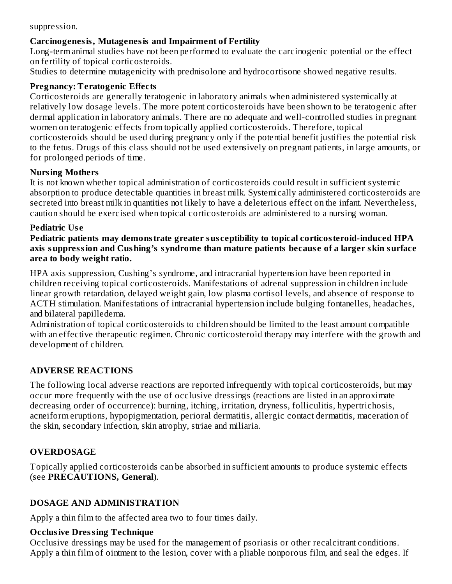#### suppression.

# **Carcinogenesis, Mutagenesis and Impairment of Fertility**

Long-term animal studies have not been performed to evaluate the carcinogenic potential or the effect on fertility of topical corticosteroids.

Studies to determine mutagenicity with prednisolone and hydrocortisone showed negative results.

## **Pregnancy: Teratogenic Effects**

Corticosteroids are generally teratogenic in laboratory animals when administered systemically at relatively low dosage levels. The more potent corticosteroids have been shown to be teratogenic after dermal application in laboratory animals. There are no adequate and well-controlled studies in pregnant women on teratogenic effects from topically applied corticosteroids. Therefore, topical corticosteroids should be used during pregnancy only if the potential benefit justifies the potential risk to the fetus. Drugs of this class should not be used extensively on pregnant patients, in large amounts, or for prolonged periods of time.

# **Nursing Mothers**

It is not known whether topical administration of corticosteroids could result in sufficient systemic absorption to produce detectable quantities in breast milk. Systemically administered corticosteroids are secreted into breast milk in quantities not likely to have a deleterious effect on the infant. Nevertheless, caution should be exercised when topical corticosteroids are administered to a nursing woman.

# **Pediatric Us e**

**Pediatric patients may demonstrate greater sus ceptibility to topical corticosteroid-induced HPA axis suppression and Cushing's syndrome than mature patients becaus e of a larger skin surface area to body weight ratio.**

HPA axis suppression, Cushing's syndrome, and intracranial hypertension have been reported in children receiving topical corticosteroids. Manifestations of adrenal suppression in children include linear growth retardation, delayed weight gain, low plasma cortisol levels, and absence of response to ACTH stimulation. Manifestations of intracranial hypertension include bulging fontanelles, headaches, and bilateral papilledema.

Administration of topical corticosteroids to children should be limited to the least amount compatible with an effective therapeutic regimen. Chronic corticosteroid therapy may interfere with the growth and development of children.

# **ADVERSE REACTIONS**

The following local adverse reactions are reported infrequently with topical corticosteroids, but may occur more frequently with the use of occlusive dressings (reactions are listed in an approximate decreasing order of occurrence): burning, itching, irritation, dryness, folliculitis, hypertrichosis, acneiform eruptions, hypopigmentation, perioral dermatitis, allergic contact dermatitis, maceration of the skin, secondary infection, skin atrophy, striae and miliaria.

# **OVERDOSAGE**

Topically applied corticosteroids can be absorbed in sufficient amounts to produce systemic effects (see **PRECAUTIONS, General**).

# **DOSAGE AND ADMINISTRATION**

Apply a thin film to the affected area two to four times daily.

# **Occlusive Dressing Technique**

Occlusive dressings may be used for the management of psoriasis or other recalcitrant conditions. Apply a thin film of ointment to the lesion, cover with a pliable nonporous film, and seal the edges. If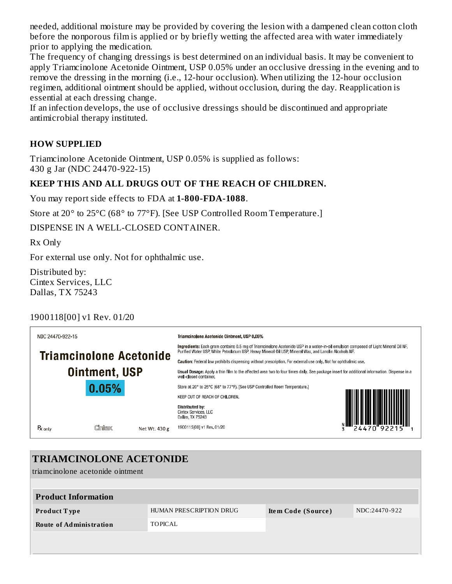needed, additional moisture may be provided by covering the lesion with a dampened clean cotton cloth before the nonporous film is applied or by briefly wetting the affected area with water immediately prior to applying the medication.

The frequency of changing dressings is best determined on an individual basis. It may be convenient to apply Triamcinolone Acetonide Ointment, USP 0.05% under an occlusive dressing in the evening and to remove the dressing in the morning (i.e., 12-hour occlusion). When utilizing the 12-hour occlusion regimen, additional ointment should be applied, without occlusion, during the day. Reapplication is essential at each dressing change.

If an infection develops, the use of occlusive dressings should be discontinued and appropriate antimicrobial therapy instituted.

## **HOW SUPPLIED**

Triamcinolone Acetonide Ointment, USP 0.05% is supplied as follows: 430 g Jar (NDC 24470-922-15)

#### **KEEP THIS AND ALL DRUGS OUT OF THE REACH OF CHILDREN.**

You may report side effects to FDA at **1-800-FDA-1088**.

Store at 20° to 25°C (68° to 77°F). [See USP Controlled Room Temperature.]

DISPENSE IN A WELL-CLOSED CONTAINER.

Rx Only

For external use only. Not for ophthalmic use.

Distributed by: Cintex Services, LLC Dallas, TX 75243

#### 1900118[00] v1 Rev. 01/20



| <b>TRIAMCINOLONE ACETONIDE</b>   |                         |                    |               |  |  |  |  |  |
|----------------------------------|-------------------------|--------------------|---------------|--|--|--|--|--|
| triamcinolone acetonide ointment |                         |                    |               |  |  |  |  |  |
|                                  |                         |                    |               |  |  |  |  |  |
| <b>Product Information</b>       |                         |                    |               |  |  |  |  |  |
| <b>Product Type</b>              | HUMAN PRESCRIPTION DRUG | Item Code (Source) | NDC:24470-922 |  |  |  |  |  |
| <b>Route of Administration</b>   | TOPICAL                 |                    |               |  |  |  |  |  |
|                                  |                         |                    |               |  |  |  |  |  |